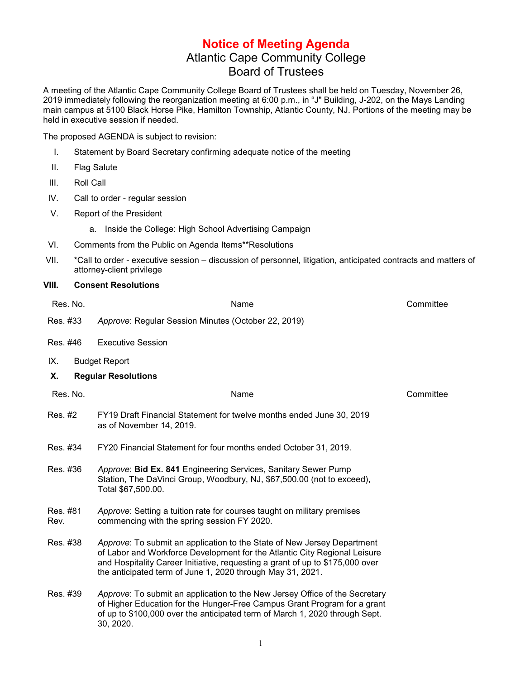## **Notice of Meeting Agenda** Atlantic Cape Community College Board of Trustees

A meeting of the Atlantic Cape Community College Board of Trustees shall be held on Tuesday, November 26, 2019 immediately following the reorganization meeting at 6:00 p.m., in "J" Building, J-202, on the Mays Landing main campus at 5100 Black Horse Pike, Hamilton Township, Atlantic County, NJ. Portions of the meeting may be held in executive session if needed.

The proposed AGENDA is subject to revision:

- I. Statement by Board Secretary confirming adequate notice of the meeting
- II. Flag Salute
- III. Roll Call
- IV. Call to order regular session
- V. Report of the President
	- a. Inside the College: High School Advertising Campaign
- VI. Comments from the Public on Agenda Items\*\*Resolutions
- VII. \*Call to order executive session discussion of personnel, litigation, anticipated contracts and matters of attorney-client privilege

## **VIII. Consent Resolutions**

| Res. No.         | Name                                                                                                                                                                                                                                                                                                | Committee |
|------------------|-----------------------------------------------------------------------------------------------------------------------------------------------------------------------------------------------------------------------------------------------------------------------------------------------------|-----------|
| Res. #33         | Approve: Regular Session Minutes (October 22, 2019)                                                                                                                                                                                                                                                 |           |
| Res. #46         | <b>Executive Session</b>                                                                                                                                                                                                                                                                            |           |
| IX.              | <b>Budget Report</b>                                                                                                                                                                                                                                                                                |           |
| Х.               | <b>Regular Resolutions</b>                                                                                                                                                                                                                                                                          |           |
| Res. No.         | Name                                                                                                                                                                                                                                                                                                | Committee |
| Res. #2          | FY19 Draft Financial Statement for twelve months ended June 30, 2019<br>as of November 14, 2019.                                                                                                                                                                                                    |           |
| Res. #34         | FY20 Financial Statement for four months ended October 31, 2019.                                                                                                                                                                                                                                    |           |
| Res. #36         | Approve: Bid Ex. 841 Engineering Services, Sanitary Sewer Pump<br>Station, The DaVinci Group, Woodbury, NJ, \$67,500.00 (not to exceed),<br>Total \$67,500.00.                                                                                                                                      |           |
| Res. #81<br>Rev. | Approve: Setting a tuition rate for courses taught on military premises<br>commencing with the spring session FY 2020.                                                                                                                                                                              |           |
| Res. #38         | Approve: To submit an application to the State of New Jersey Department<br>of Labor and Workforce Development for the Atlantic City Regional Leisure<br>and Hospitality Career Initiative, requesting a grant of up to \$175,000 over<br>the anticipated term of June 1, 2020 through May 31, 2021. |           |
| Res. #39         | Approve: To submit an application to the New Jersey Office of the Secretary<br>of Higher Education for the Hunger-Free Campus Grant Program for a grant<br>of up to \$100,000 over the anticipated term of March 1, 2020 through Sept.<br>30, 2020.                                                 |           |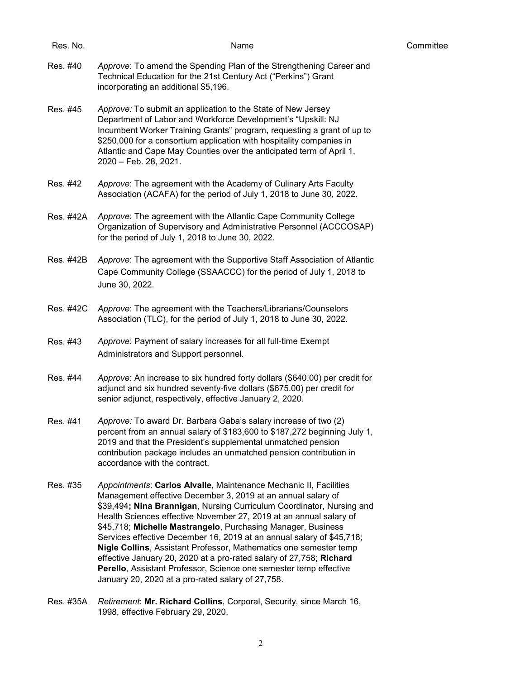| Res. No.  | Name                                                                                                                                                                                                                                                                                                                                                                                                                                                                                                                                                                                                                                                                                            | Committee |
|-----------|-------------------------------------------------------------------------------------------------------------------------------------------------------------------------------------------------------------------------------------------------------------------------------------------------------------------------------------------------------------------------------------------------------------------------------------------------------------------------------------------------------------------------------------------------------------------------------------------------------------------------------------------------------------------------------------------------|-----------|
| Res. #40  | Approve: To amend the Spending Plan of the Strengthening Career and<br>Technical Education for the 21st Century Act ("Perkins") Grant<br>incorporating an additional \$5,196.                                                                                                                                                                                                                                                                                                                                                                                                                                                                                                                   |           |
| Res. #45  | Approve: To submit an application to the State of New Jersey<br>Department of Labor and Workforce Development's "Upskill: NJ<br>Incumbent Worker Training Grants" program, requesting a grant of up to<br>\$250,000 for a consortium application with hospitality companies in<br>Atlantic and Cape May Counties over the anticipated term of April 1,<br>2020 - Feb. 28, 2021.                                                                                                                                                                                                                                                                                                                 |           |
| Res. #42  | Approve: The agreement with the Academy of Culinary Arts Faculty<br>Association (ACAFA) for the period of July 1, 2018 to June 30, 2022.                                                                                                                                                                                                                                                                                                                                                                                                                                                                                                                                                        |           |
| Res. #42A | Approve: The agreement with the Atlantic Cape Community College<br>Organization of Supervisory and Administrative Personnel (ACCCOSAP)<br>for the period of July 1, 2018 to June 30, 2022.                                                                                                                                                                                                                                                                                                                                                                                                                                                                                                      |           |
| Res. #42B | Approve: The agreement with the Supportive Staff Association of Atlantic<br>Cape Community College (SSAACCC) for the period of July 1, 2018 to<br>June 30, 2022.                                                                                                                                                                                                                                                                                                                                                                                                                                                                                                                                |           |
| Res. #42C | Approve: The agreement with the Teachers/Librarians/Counselors<br>Association (TLC), for the period of July 1, 2018 to June 30, 2022.                                                                                                                                                                                                                                                                                                                                                                                                                                                                                                                                                           |           |
| Res. #43  | Approve: Payment of salary increases for all full-time Exempt<br>Administrators and Support personnel.                                                                                                                                                                                                                                                                                                                                                                                                                                                                                                                                                                                          |           |
| Res. #44  | Approve: An increase to six hundred forty dollars (\$640.00) per credit for<br>adjunct and six hundred seventy-five dollars (\$675.00) per credit for<br>senior adjunct, respectively, effective January 2, 2020.                                                                                                                                                                                                                                                                                                                                                                                                                                                                               |           |
| Res. #41  | Approve: To award Dr. Barbara Gaba's salary increase of two (2)<br>percent from an annual salary of \$183,600 to \$187,272 beginning July 1,<br>2019 and that the President's supplemental unmatched pension<br>contribution package includes an unmatched pension contribution in<br>accordance with the contract.                                                                                                                                                                                                                                                                                                                                                                             |           |
| Res. #35  | Appointments: Carlos Alvalle, Maintenance Mechanic II, Facilities<br>Management effective December 3, 2019 at an annual salary of<br>\$39,494; Nina Brannigan, Nursing Curriculum Coordinator, Nursing and<br>Health Sciences effective November 27, 2019 at an annual salary of<br>\$45,718; Michelle Mastrangelo, Purchasing Manager, Business<br>Services effective December 16, 2019 at an annual salary of \$45,718;<br>Nigle Collins, Assistant Professor, Mathematics one semester temp<br>effective January 20, 2020 at a pro-rated salary of 27,758; Richard<br>Perello, Assistant Professor, Science one semester temp effective<br>January 20, 2020 at a pro-rated salary of 27,758. |           |
| Res. #35A | Retirement: Mr. Richard Collins, Corporal, Security, since March 16,<br>1998, effective February 29, 2020.                                                                                                                                                                                                                                                                                                                                                                                                                                                                                                                                                                                      |           |